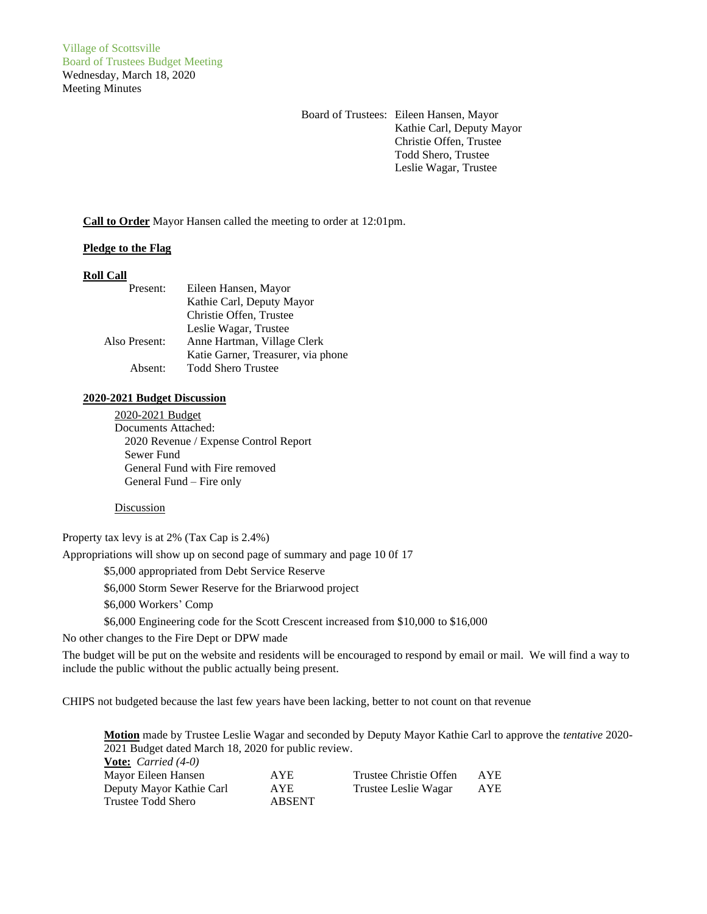Village of Scottsville Board of Trustees Budget Meeting Wednesday, March 18, 2020 Meeting Minutes

> Board of Trustees: Eileen Hansen, Mayor Kathie Carl, Deputy Mayor Christie Offen, Trustee Todd Shero, Trustee Leslie Wagar, Trustee

**Call to Order** Mayor Hansen called the meeting to order at 12:01pm.

# **Pledge to the Flag**

### **Roll Call**

| Present:      | Eileen Hansen, Mayor               |
|---------------|------------------------------------|
|               | Kathie Carl, Deputy Mayor          |
|               | Christie Offen, Trustee            |
|               | Leslie Wagar, Trustee              |
| Also Present: | Anne Hartman, Village Clerk        |
|               | Katie Garner, Treasurer, via phone |
| Absent:       | <b>Todd Shero Trustee</b>          |

### **2020-2021 Budget Discussion**

2020-2021 Budget Documents Attached: 2020 Revenue / Expense Control Report Sewer Fund General Fund with Fire removed General Fund – Fire only

### **Discussion**

Property tax levy is at 2% (Tax Cap is 2.4%)

Appropriations will show up on second page of summary and page 10 0f 17

\$5,000 appropriated from Debt Service Reserve

\$6,000 Storm Sewer Reserve for the Briarwood project

\$6,000 Workers' Comp

\$6,000 Engineering code for the Scott Crescent increased from \$10,000 to \$16,000

No other changes to the Fire Dept or DPW made

The budget will be put on the website and residents will be encouraged to respond by email or mail. We will find a way to include the public without the public actually being present.

CHIPS not budgeted because the last few years have been lacking, better to not count on that revenue

**Motion** made by Trustee Leslie Wagar and seconded by Deputy Mayor Kathie Carl to approve the *tentative* 2020- 2021 Budget dated March 18, 2020 for public review. **Vote:** *Carried (4-0)*

| $\frac{1}{2}$ $\frac{1}{2}$ $\frac{1}{2}$ $\frac{1}{2}$ $\frac{1}{2}$ $\frac{1}{2}$ $\frac{1}{2}$ $\frac{1}{2}$ $\frac{1}{2}$ $\frac{1}{2}$ $\frac{1}{2}$ $\frac{1}{2}$ $\frac{1}{2}$ $\frac{1}{2}$ $\frac{1}{2}$ $\frac{1}{2}$ $\frac{1}{2}$ $\frac{1}{2}$ $\frac{1}{2}$ $\frac{1}{2}$ $\frac{1}{2}$ $\frac{1}{2}$ |               |                        |            |
|---------------------------------------------------------------------------------------------------------------------------------------------------------------------------------------------------------------------------------------------------------------------------------------------------------------------|---------------|------------------------|------------|
| Mayor Eileen Hansen                                                                                                                                                                                                                                                                                                 | <b>AYE</b>    | Trustee Christie Offen | <b>AYE</b> |
| Deputy Mayor Kathie Carl                                                                                                                                                                                                                                                                                            | <b>AYE</b>    | Trustee Leslie Wagar   | AYE        |
| Trustee Todd Shero                                                                                                                                                                                                                                                                                                  | <b>ABSENT</b> |                        |            |